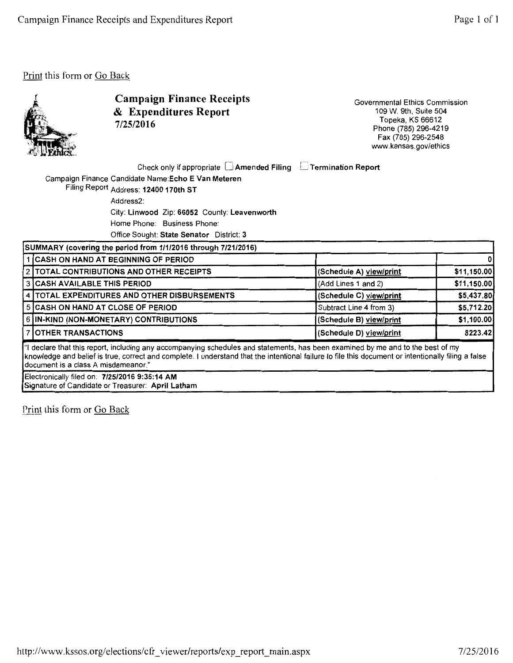

Campaign Finance Receipts & Expenditures Report 7/25/2016

Governmental Ethics Commission 109 W. 9th, Suite 504 Topeka, KS 66612 Phone (785) 296-4219 Fax (785) 296-2548 www.kansas.gov/ethics

Check only if appropriate  $\Box$  Amended Filing  $\Box$  Termination Report

Campaign Finance Candidate Name:Echo E Van Meteren Filing Report Address: 12400 170th ST

Address2:

City: Linwood Zip: 66052 County: Leavenworth

Home Phone: Business Phone:

Office Sought: State Senator District: 3

| SUMMARY (covering the period from 1/1/2016 through 7/21/2016)                                                                                                                                                                                                                                                                  |                                              |                         |             |  |
|--------------------------------------------------------------------------------------------------------------------------------------------------------------------------------------------------------------------------------------------------------------------------------------------------------------------------------|----------------------------------------------|-------------------------|-------------|--|
|                                                                                                                                                                                                                                                                                                                                | 1 CASH ON HAND AT BEGINNING OF PERIOD        |                         |             |  |
|                                                                                                                                                                                                                                                                                                                                | 2   TOTAL CONTRIBUTIONS AND OTHER RECEIPTS   | (Schedule A) view/print | \$11,150.00 |  |
|                                                                                                                                                                                                                                                                                                                                | 3 CASH AVAILABLE THIS PERIOD                 | (Add Lines 1 and 2)     | \$11,150.00 |  |
|                                                                                                                                                                                                                                                                                                                                | 4 TOTAL EXPENDITURES AND OTHER DISBURSEMENTS | (Schedule C) view/print | \$5,437.80  |  |
|                                                                                                                                                                                                                                                                                                                                | 5 CASH ON HAND AT CLOSE OF PERIOD            | Subtract Line 4 from 3) | \$5,712.20  |  |
|                                                                                                                                                                                                                                                                                                                                | 6 IN-KIND (NON-MONETARY) CONTRIBUTIONS       | (Schedule B) view/print | \$1,100.00  |  |
|                                                                                                                                                                                                                                                                                                                                | 7 OTHER TRANSACTIONS                         | (Schedule D) view/print | 8223.42     |  |
| all declare that this report, including any accompanying schedules and statements, has been examined by me and to the best of my<br>knowledge and belief is true, correct and complete. I understand that the intentional failure to file this document or intentionally filing a false<br>document is a class A misdemeanor." |                                              |                         |             |  |

Electronically filed on: 7/25/2016 9:36:14 AM Signature of Candidate or Treasurer: April Latham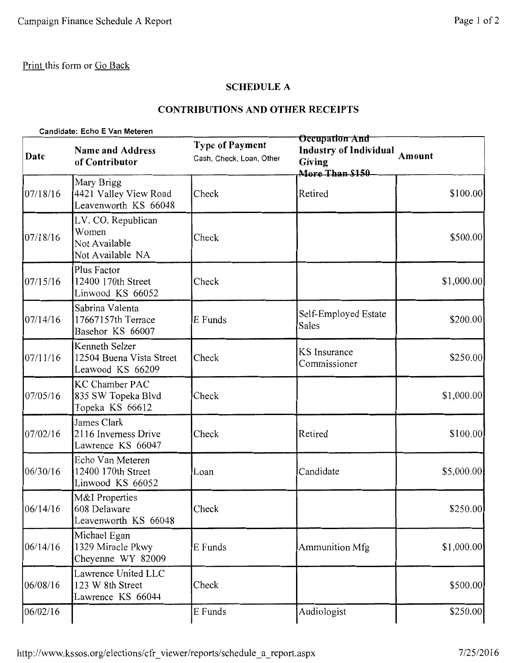# **SCHEDULE A**

## **CONTRIBUTIONS AND OTHER RECEIPTS**

|          | Candidate: Echo E Van Meteren                                    |                                                    |                                                                              |             |  |
|----------|------------------------------------------------------------------|----------------------------------------------------|------------------------------------------------------------------------------|-------------|--|
| Date     | <b>Name and Address</b><br>of Contributor                        | <b>Type of Payment</b><br>Cash, Check, Loan, Other | Occupation And<br><b>Industry of Individual</b><br>Giving<br>More Than \$150 | Amount      |  |
| 07/18/16 | Mary Brigg<br>4421 Valley View Road<br>Leavenworth KS 66048      | Check                                              | Retired                                                                      | \$100.00]   |  |
| 07/18/16 | LV. CO. Republican<br>Women<br>Not Available<br>Not Available NA | Check                                              |                                                                              | \$500.00    |  |
| 07/15/16 | Plus Factor<br>12400 170th Street<br>Linwood KS 66052            | Check                                              |                                                                              | \$1,000.00  |  |
| 07/14/16 | Sabrina Valenta<br>17667157th Terrace<br>Basehor KS 66007        | E Funds                                            | Self-Employed Estate<br><b>Sales</b>                                         | \$200.00    |  |
| 07/11/16 | Kenneth Selzer<br>12504 Buena Vista Street<br>Leawood KS 66209   | Check                                              | <b>KS</b> Insurance<br>Commissioner                                          | \$250.00    |  |
| 07/05/16 | <b>KC Chamber PAC</b><br>835 SW Topeka Blvd<br>Topeka KS 66612   | Check                                              |                                                                              | \$1,000.00] |  |
| 07/02/16 | James Clark<br>2116 Inverness Drive<br>Lawrence KS 66047         | Check                                              | Retired                                                                      | \$100.00    |  |
| 06/30/16 | Echo Van Meteren<br>12400 170th Street<br>Linwood KS 66052       | Loan                                               | Candidate                                                                    | \$5,000.00  |  |
| 06/14/16 | M&I Properties<br>608 Delaware<br>Leavenworth KS 66048           | Check                                              |                                                                              | \$250.00    |  |
| 06/14/16 | Michael Egan<br>1329 Miracle Pkwy<br>Cheyenne WY 82009           | E Funds                                            | Ammunition Mfg                                                               | \$1,000.00  |  |
| 06/08/16 | Lawrence United LLC<br>123 W 8th Street<br>Lawrence KS 66044     | Check                                              |                                                                              | \$500.00    |  |
| 06/02/16 |                                                                  | E Funds                                            | Audiologist                                                                  | \$250.00    |  |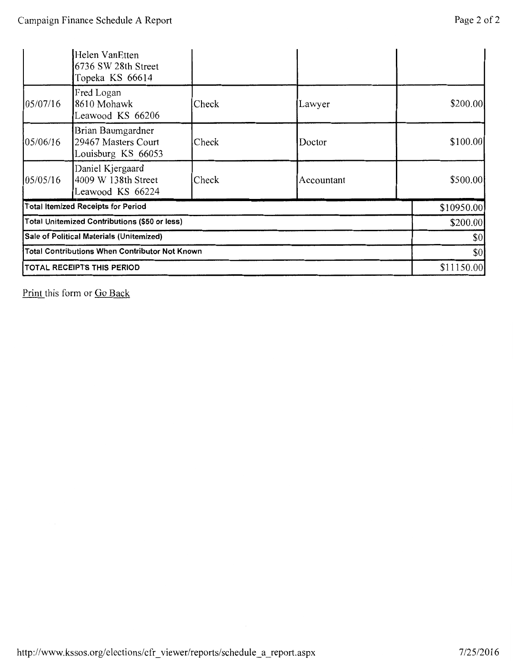|                                               | Helen VanEtten<br>6736 SW 28th Street<br>Topeka KS 66614       |       |            |            |
|-----------------------------------------------|----------------------------------------------------------------|-------|------------|------------|
| 05/07/16                                      | Fred Logan<br>8610 Mohawk<br>Leawood KS 66206                  | Check | Lawyer     | \$200.00   |
| 05/06/16                                      | Brian Baumgardner<br>29467 Masters Court<br>Louisburg KS 66053 | Check | Doctor     | \$100.00   |
| 05/05/16                                      | Daniel Kjergaard<br>4009 W 138th Street<br>Leawood KS 66224    | Check | Accountant | \$500.00   |
|                                               | <b>Total Itemized Receipts for Period</b>                      |       |            | \$10950.00 |
| Total Unitemized Contributions (\$50 or less) |                                                                |       | \$200.00   |            |
|                                               | Sale of Political Materials (Unitemized)                       |       |            | \$0        |
|                                               | <b>Total Contributions When Contributor Not Known</b>          |       |            | 30         |
| TOTAL RECEIPTS THIS PERIOD                    |                                                                |       |            | \$11150.00 |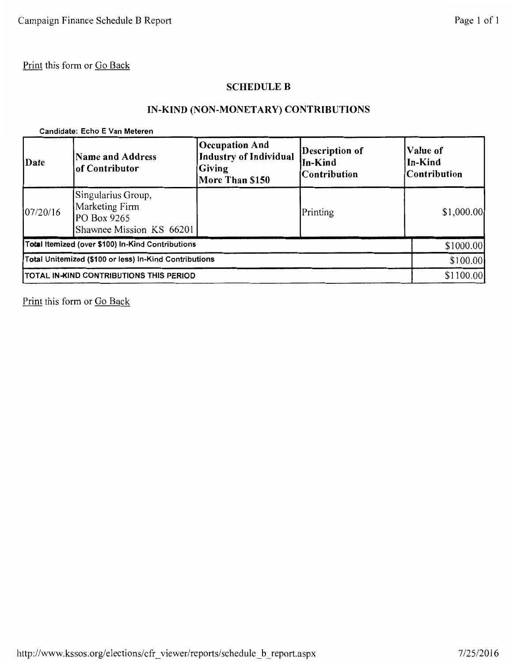## SCHEDULE B

# IN-KIND (NON-MONETARY) CONTRIBUTIONS

#### Candidate: Echo E Van Meteren

| Date                                                   | <b>Name and Address</b><br>of Contributor                                       | Occupation And<br><b>Industry of Individual</b><br><b>Giving</b><br>More Than \$150 | Description of<br>In-Kind<br><b>Contribution</b> | Value of<br>In-Kind<br>Contribution |
|--------------------------------------------------------|---------------------------------------------------------------------------------|-------------------------------------------------------------------------------------|--------------------------------------------------|-------------------------------------|
| 07/20/16                                               | Singularius Group,<br>Marketing Firm<br>PO Box 9265<br>Shawnee Mission KS 66201 |                                                                                     | Printing                                         | \$1,000.00                          |
|                                                        | Total Itemized (over \$100) In-Kind Contributions                               |                                                                                     |                                                  | \$1000.00                           |
| Total Unitemized (\$100 or less) In-Kind Contributions |                                                                                 |                                                                                     |                                                  | \$100.00                            |
| <b>ITOTAL IN-KIND CONTRIBUTIONS THIS PERIOD</b>        |                                                                                 |                                                                                     |                                                  | \$1100.00                           |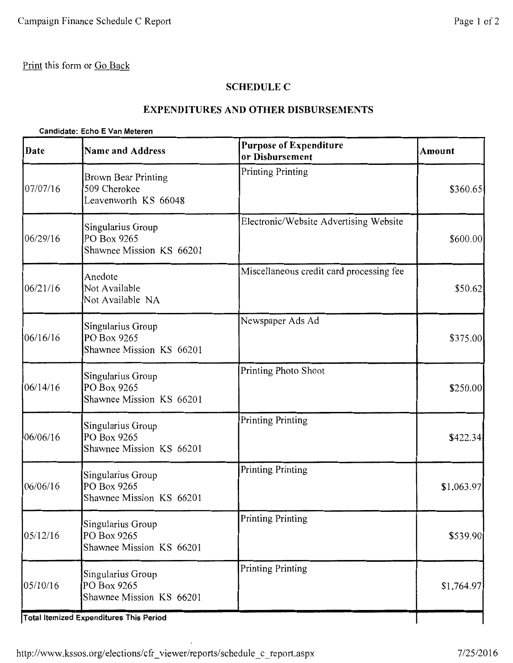## **SCHEDULE C**

## **EXPENDITURES AND OTHER DISBURSEMENTS**

#### **Candidate: Echo E Van Meteren**

| Date     | <b>Name and Address</b>                                            | <b>Purpose of Expenditure</b><br>or Disbursement | Amount     |
|----------|--------------------------------------------------------------------|--------------------------------------------------|------------|
| 07/07/16 | <b>Brown Bear Printing</b><br>509 Cherokee<br>Leavenworth KS 66048 | Printing Printing                                | \$360.65   |
| 06/29/16 | Singularius Group<br>PO Box 9265<br>Shawnee Mission KS 66201       | Electronic/Website Advertising Website           | \$600.00   |
| 06/21/16 | Anedote<br>Not Available<br>Not Available NA                       | Miscellaneous credit card processing fee         | \$50.62    |
| 06/16/16 | Singularius Group<br>PO Box 9265<br>Shawnee Mission KS 66201       | Newspaper Ads Ad                                 | \$375.00   |
| 06/14/16 | Singularius Group<br>PO Box 9265<br>Shawnee Mission KS 66201       | Printing Photo Shoot                             | \$250.00   |
| 06/06/16 | Singularius Group<br>PO Box 9265<br>Shawnee Mission KS 66201       | <b>Printing Printing</b>                         | \$422.34]  |
| 06/06/16 | Singularius Group<br>PO Box 9265<br>Shawnee Mission KS 66201       | Printing Printing                                | \$1,063.97 |
| 05/12/16 | Singularius Group<br>PO Box 9265<br>Shawnee Mission KS 66201       | Printing Printing                                | \$539.90   |
| 05/10/16 | Singularius Group<br>PO Box 9265<br>Shawnee Mission KS 66201       | Printing Printing                                | \$1,764.97 |
|          | <b>Total Itemized Expenditures This Period</b>                     |                                                  |            |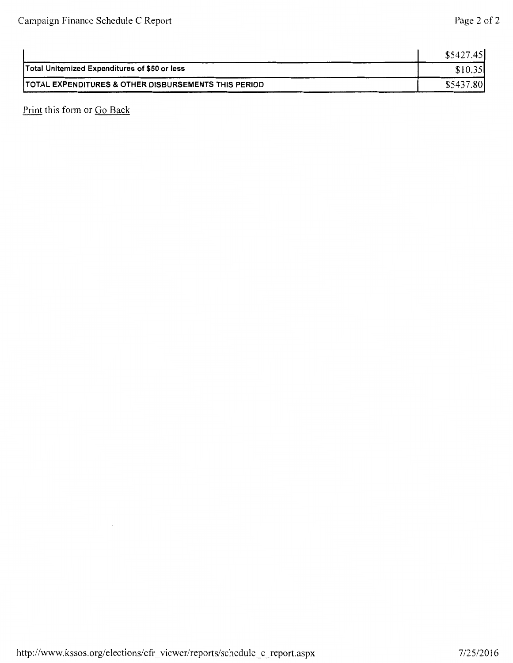|                                                                  | \$5427.45                  |
|------------------------------------------------------------------|----------------------------|
| Total Unitemized Expenditures of \$50 or less                    |                            |
| <b>ITOTAL EXPENDITURES &amp; OTHER DISBURSEMENTS THIS PERIOD</b> | .80 <sub>1</sub><br>\$5437 |